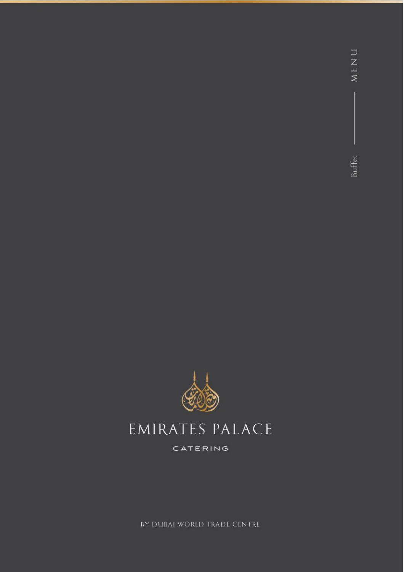NENU **Buffet** 



BY DUBAI WORLD TRADE CENTRE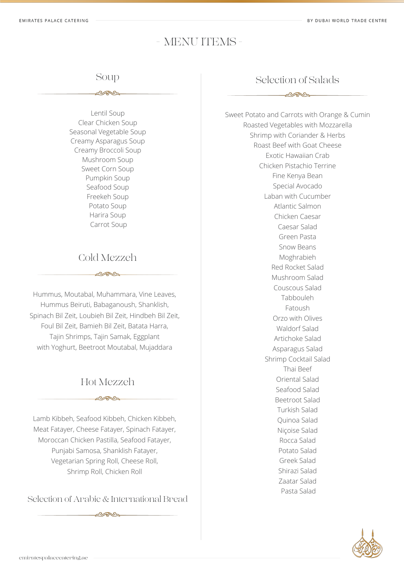# - MENU ITEMS -

### Soup

**CONST** 

Lentil Soup Clear Chicken Soup Seasonal Vegetable Soup Creamy Asparagus Soup Creamy Broccoli Soup Mushroom Soup Sweet Corn Soup Pumpkin Soup Seafood Soup Freekeh Soup Potato Soup Harira Soup Carrot Soup

## Cold Mezzeh

 $R$ 

Hummus, Moutabal, Muhammara, Vine Leaves, Hummus Beiruti, Babaganoush, Shanklish, Spinach Bil Zeit, Loubieh Bil Zeit, Hindbeh Bil Zeit, Foul Bil Zeit, Bamieh Bil Zeit, Batata Harra, Tajin Shrimps, Tajin Samak, Eggplant with Yoghurt, Beetroot Moutabal, Mujaddara

## Hot Mezzeh

Lamb Kibbeh, Seafood Kibbeh, Chicken Kibbeh, Meat Fatayer, Cheese Fatayer, Spinach Fatayer, Moroccan Chicken Pastilla, Seafood Fatayer, Punjabi Samosa, Shanklish Fatayer, Vegetarian Spring Roll, Cheese Roll, Shrimp Roll, Chicken Roll

Selection of Arabic & International Bread

**CAND** 

## Selection of Salads  $-2$

Sweet Potato and Carrots with Orange & Cumin Roasted Vegetables with Mozzarella Shrimp with Coriander & Herbs Roast Beef with Goat Cheese Exotic Hawaiian Crab Chicken Pistachio Terrine Fine Kenya Bean Special Avocado Laban with Cucumber Atlantic Salmon Chicken Caesar Caesar Salad Green Pasta Snow Beans Moghrabieh Red Rocket Salad Mushroom Salad Couscous Salad Tabbouleh Fatoush Orzo with Olives Waldorf Salad Artichoke Salad Asparagus Salad Shrimp Cocktail Salad Thai Beef Oriental Salad Seafood Salad Beetroot Salad Turkish Salad Quinoa Salad Niçoise Salad Rocca Salad Potato Salad Greek Salad Shirazi Salad Zaatar Salad Pasta Salad

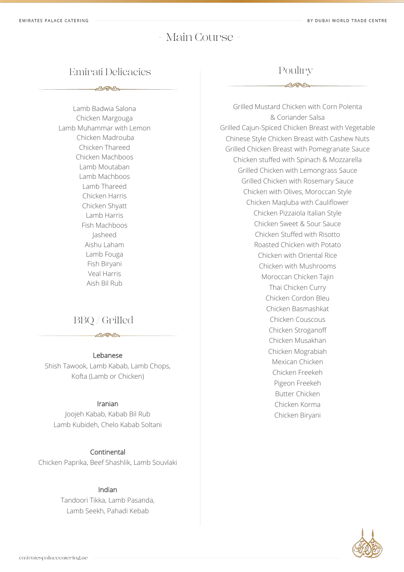#### BY DUBAL WORLD TRADE CENTRE

# - Main Course -

## Emirati Delicacies

 $200$ 

Lamb Badwia Salona Chicken Margouga Lamb Muhammar with Lemon Chicken Madrouba Chicken Thareed Chicken Machboos Lamb Moutaban Lamb Machboos Lamb Thareed Chicken Harris Chicken Shyatt Lamb Harris Fish Machboos Jasheed Aishu Laham Lamb Fouga Fish Biryani Veal Harris

## BBQ / GriIIed

Aish Bil Rub

# $R_{\rm max}$

Lebanese Shish Tawook, Lamb Kabab, Lamb Chops, Kofta (Lamb or Chicken)

#### Iranian

Joojeh Kabab, Kabab Bil Rub Lamb Kubideh, Chelo Kabab Soltani

#### **Continental**

Chicken Paprika, Beef Shashlik, Lamb Souvlaki

#### Indian

Tandoori Tikka, Lamb Pasanda, Lamb Seekh, Pahadi Kebab

## Poultry

Grilled Mustard Chicken with Corn Polenta & Coriander Salsa Grilled Cajun-Spiced Chicken Breast with Vegetable Chinese Style Chicken Breast with Cashew Nuts Grilled Chicken Breast with Pomegranate Sauce Chicken stuffed with Spinach & Mozzarella Grilled Chicken with Lemongrass Sauce Grilled Chicken with Rosemary Sauce Chicken with Olives, Moroccan Style Chicken Maqluba with Cauliflower Chicken Pizzaiola Italian Style Chicken Sweet & Sour Sauce Chicken Stuffed with Risotto Roasted Chicken with Potato Chicken with Oriental Rice Chicken with Mushrooms Moroccan Chicken Tajin Thai Chicken Curry Chicken Cordon Bleu Chicken Basmashkat Chicken Couscous Chicken Stroganoff Chicken Musakhan Chicken Mograbiah Mexican Chicken Chicken Freekeh Pigeon Freekeh Butter Chicken Chicken Korma Chicken Biryani

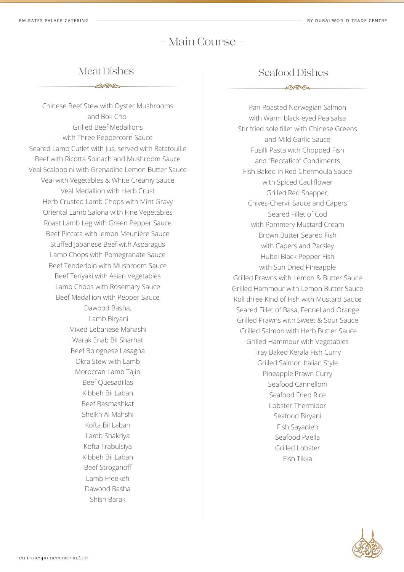## - Main Course -

## Meat Dishes  $2000$

Chinese Beef Stew with Oyster Mushrooms and Bok Choi Grilled Beef Medallions with Three Peppercorn Sauce Seared Lamb Cutlet with Jus, served with Ratatouille Beef with Ricotta Spinach and Mushroom Sauce Veal Scaloppini with Grenadine Lemon Butter Sauce Veal with Vegetables & White Creamy Sauce Veal Medallion with Herb Crust Herb Crusted Lamb Chops with Mint Gravy Oriental Lamb Salona with Fine Vegetables Roast Lamb Leg with Green Pepper Sauce Beef Piccata with lemon Meunière Sauce Stuffed Japanese Beef with Asparagus Lamb Chops with Pomegranate Sauce Beef Tenderloin with Mushroom Sauce Beef Teriyaki with Asian Vegetables Lamb Chops with Rosemary Sauce Beef Medallion with Pepper Sauce Dawood Basha, Lamb Biryani Mixed Lebanese Mahashi Warak Enab Bil Sharhat Beef Bolognese Lasagna Okra Stew with Lamb Moroccan Lamb Tajin Beef Quesadillas Kibbeh Bil Laban Beef Basmashkat Sheikh Al Mahshi Kofta Bil Laban Lamb Shakriya Kofta Trabulsiya Kibbeh Bil Laban Beef Stroganoff Lamb Freekeh Dawood Basha Shish Barak

## Seafood Dishes

 $R$ 

Pan Roasted Norwegian Salmon with Warm black-eyed Pea salsa Stir fried sole fillet with Chinese Greens and Mild Garlic Sauce Fusilli Pasta with Chopped Fish and "Beccafico" Condiments Fish Baked in Red Chermoula Sauce with Spiced Cauliflower Grilled Red Snapper, Chives-Chervil Sauce and Capers Seared Fillet of Cod with Pommery Mustard Cream Brown Butter Seared Fish with Capers and Parsley Hubei Black Pepper Fish with Sun Dried Pineapple Grilled Prawns with Lemon & Butter Sauce Grilled Hammour with Lemon Butter Sauce Roll three Kind of Fish with Mustard Sauce Seared Fillet of Basa, Fennel and Orange Grilled Prawns with Sweet & Sour Sauce Grilled Salmon with Herb Butter Sauce Grilled Hammour with Vegetables Tray Baked Kerala Fish Curry Grilled Salmon Italian Style Pineapple Prawn Curry Seafood Cannelloni Seafood Fried Rice Lobster Thermidor Seafood Biryani Fish Sayadieh Seafood Paella Grilled Lobster Fish Tikka

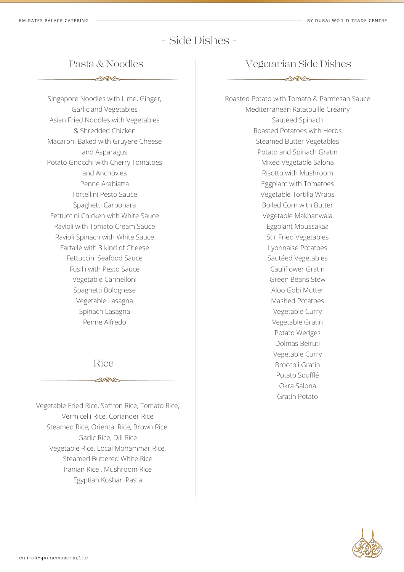# - Side Dishes -

## Pasta & Noodles

**CONS** Singapore Noodles with Lime, Ginger,

Garlic and Vegetables Asian Fried Noodles with Vegetables & Shredded Chicken Macaroni Baked with Gruyere Cheese and Asparagus Potato Gnocchi with Cherry Tomatoes and Anchovies Penne Arabiatta Tortellini Pesto Sauce Spaghetti Carbonara Fettuccini Chicken with White Sauce Ravioli with Tomato Cream Sauce Ravioli Spinach with White Sauce Farfalle with 3 kind of Cheese Fettuccini Seafood Sauce Fusilli with Pesto Sauce Vegetable Cannelloni Spaghetti Bolognese Vegetable Lasagna Spinach Lasagna Penne Alfredo

#### Rice

**CONS** 

Vegetable Fried Rice, Saffron Rice, Tomato Rice, Vermicelli Rice, Coriander Rice Steamed Rice, Oriental Rice, Brown Rice, Garlic Rice, Dill Rice Vegetable Rice, Local Mohammar Rice, Steamed Buttered White Rice Iranian Rice , Mushroom Rice Egyptian Koshari Pasta

## Vegetarian Side Dishes

**CONS** 

Roasted Potato with Tomato & Parmesan Sauce Mediterranean Ratatouille Creamy Sautéed Spinach Roasted Potatoes with Herbs Steamed Butter Vegetables Potato and Spinach Gratin Mixed Vegetable Salona Risotto with Mushroom Eggplant with Tomatoes Vegetable Tortilla Wraps Boiled Corn with Butter Vegetable Makhanwala Eggplant Moussakaa Stir Fried Vegetables Lyonnaise Potatoes Sautéed Vegetables Cauliflower Gratin Green Beans Stew Aloo Gobi Mutter Mashed Potatoes Vegetable Curry Vegetable Gratin Potato Wedges Dolmas Beiruti Vegetable Curry Broccoli Gratin Potato Soufflé Okra Salona Gratin Potato

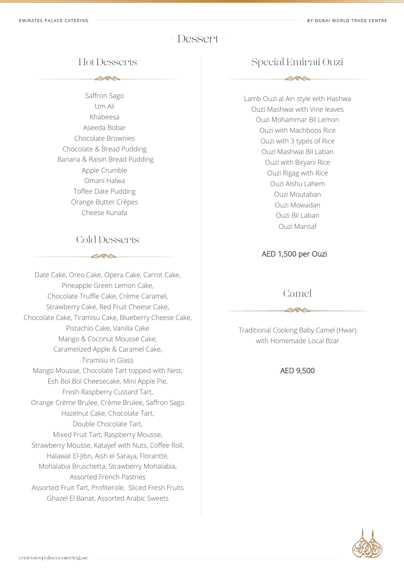#### BY DUBAL WORLD TRADE CENTRE

## - Dessert -

#### Hot Desserts

Saffron Sago Um Ali Khabeesa Aseeda Bobar Chocolate Brownies Chocolate & Bread Pudding Banana & Raisin Bread Pudding Apple Crumble Omani Halwa Toffee Date Pudding Orange Butter Crêpes Cheese Kunafa

### Cold Desserts

**CARS-**

Date Cake, Oreo Cake, Opera Cake, Carrot Cake, Pineapple Green Lemon Cake, Chocolate Truffle Cake, Crème Caramel, Strawberry Cake, Red Fruit Cheese Cake, Chocolate Cake, Tiramisu Cake, Blueberry Cheese Cake, Pistachio Cake, Vanilla Cake Mango & Coconut Mousse Cake, Caramelized Apple & Caramel Cake, Tiramisu in Glass Mango Mousse, Chocolate Tart topped with Nest, Esh Bol Bol Cheesecake, Mini Apple Pie, Fresh Raspberry Custard Tart, Orange Crème Brulee, Crème Brulee, Saffron Sago Hazelnut Cake, Chocolate Tart, Double Chocolate Tart, Mixed Fruit Tart, Raspberry Mousse, Strawberry Mousse, Katayef with Nuts, Coffee Roll, Halawat El-Jibn, Aish el Saraya, Florantte, Mohalabia Bruschetta, Strawberry Mohalabia, Assorted French Pastries Assorted Fruit Tart, Profiterole, Sliced Fresh Fruits Ghazel El Banat, Assorted Arabic Sweets

## Special Emirati Ouzi

محدي

Lamb Ouzi al Ain style with Hashwa Ouzi Mashwai with Vine leaves Ouzi Mohammar Bil Lemon Ouzi with Machboos Rice Ouzi with 3 types of Rice Ouzi Mashwai Bil Laban Ouzi with Biryani Rice Ouzi Rigag with Rice Ouzi Aishu Lahem Ouzi Moutaban Ouzi Mowadan Ouzi Bil Laban Ouzi Mansaf

#### AED 1,500 per Ouzi

#### Camel

#### $250$

Traditional Cooking Baby Camel (Hwar) with Homemade Local Bzar

#### AED 9,500

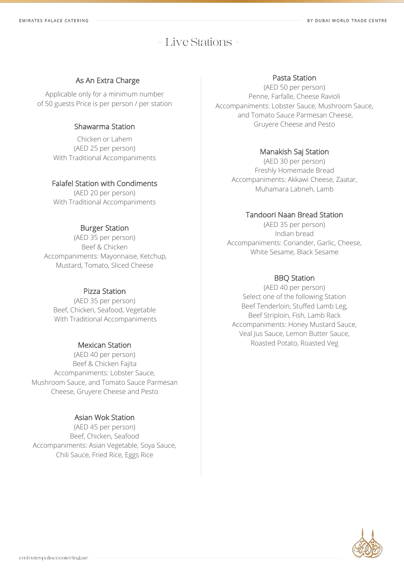# - Live Stations -

#### As An Extra Charge

Applicable only for a minimum number of 50 guests Price is per person / per station

#### Shawarma Station

Chicken or Lahem (AED 25 per person) With Traditional Accompaniments

#### Falafel Station with Condiments

(AED 20 per person) With Traditional Accompaniments

#### Burger Station

(AED 35 per person) Beef & Chicken Accompaniments: Mayonnaise, Ketchup, Mustard, Tomato, Sliced Cheese

#### Pizza Station

(AED 35 per person) Beef, Chicken, Seafood, Vegetable With Traditional Accompaniments

#### Mexican Station

(AED 40 per person) Beef & Chicken Fajita Accompaniments: Lobster Sauce, Mushroom Sauce, and Tomato Sauce Parmesan Cheese, Gruyere Cheese and Pesto

#### Asian Wok Station

(AED 45 per person) Beef, Chicken, Seafood Accompaniments: Asian Vegetable, Soya Sauce, Chili Sauce, Fried Rice, Eggs Rice

#### Pasta Station

(AED 50 per person) Penne, Farfalle, Cheese Ravioli Accompaniments: Lobster Sauce, Mushroom Sauce, and Tomato Sauce Parmesan Cheese, Gruyere Cheese and Pesto

#### Manakish Saj Station

(AED 30 per person) Freshly Homemade Bread Accompaniments: Akkawi Cheese, Zaatar, Muhamara Labneh, Lamb

#### Tandoori Naan Bread Station

(AED 35 per person) Indian bread Accompaniments: Coriander, Garlic, Cheese, White Sesame, Black Sesame

#### BBQ Station

(AED 40 per person) Select one of the following Station Beef Tenderloin, Stuffed Lamb Leg, Beef Striploin, Fish, Lamb Rack Accompaniments: Honey Mustard Sauce, Veal Jus Sauce, Lemon Butter Sauce, Roasted Potato, Roasted Veg

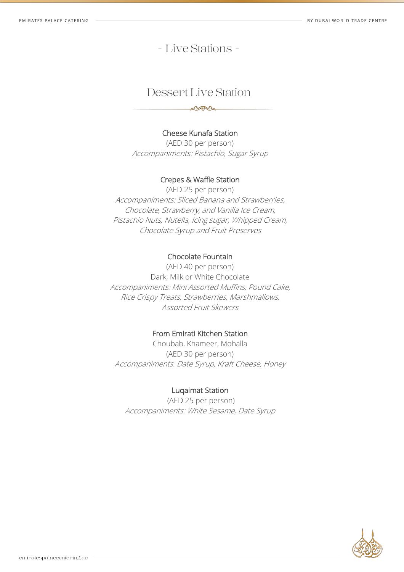## - Live Stations -

## Dessert Live Station

**CONS** 

Cheese Kunafa Station (AED 30 per person) Accompaniments: Pistachio, Sugar Syrup

#### Crepes & Waffle Station

(AED 25 per person) Accompaniments: Sliced Banana and Strawberries, Chocolate, Strawberry, and Vanilla Ice Cream, Pistachio Nuts, Nutella, Icing sugar, Whipped Cream, Chocolate Syrup and Fruit Preserves

#### Chocolate Fountain

(AED 40 per person) Dark, Milk or White Chocolate Accompaniments: Mini Assorted Muffins, Pound Cake, Rice Crispy Treats, Strawberries, Marshmallows, Assorted Fruit Skewers

#### From Emirati Kitchen Station

Choubab, Khameer, Mohalla (AED 30 per person) Accompaniments: Date Syrup, Kraft Cheese, Honey

### Luqaimat Station

(AED 25 per person) Accompaniments: White Sesame, Date Syrup

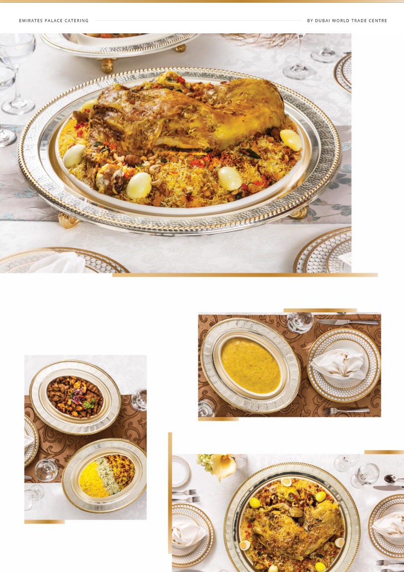